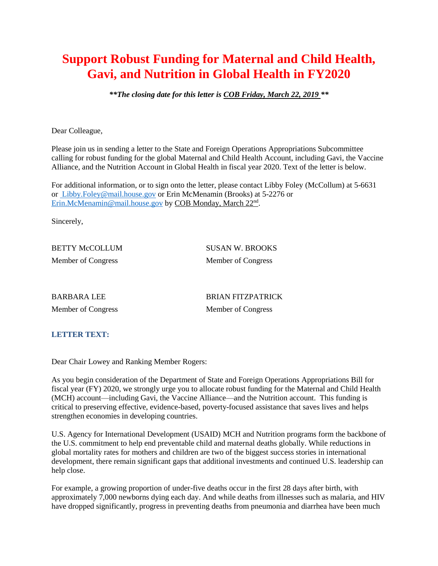## **Support Robust Funding for Maternal and Child Health, Gavi, and Nutrition in Global Health in FY2020**

*\*\*The closing date for this letter is COB Friday, March 22, 2019 \*\**

Dear Colleague,

Please join us in sending a letter to the State and Foreign Operations Appropriations Subcommittee calling for robust funding for the global Maternal and Child Health Account, including Gavi, the Vaccine Alliance, and the Nutrition Account in Global Health in fiscal year 2020. Text of the letter is below.

For additional information, or to sign onto the letter, please contact Libby Foley (McCollum) at 5-6631 or [Libby.Foley@mail.house.gov](mailto:%20Libby.Foley@mail.house.gov) or Erin McMenamin (Brooks) at 5-2276 or [Erin.McMenamin@mail.house.gov](mailto:Erin.McMenamin@mail.house.gov) by COB Monday, March 22<sup>nd</sup>.

Sincerely,

Member of Congress Member of Congress

BETTY McCOLLUM SUSAN W. BROOKS

BARBARA LEE BRIAN FITZPATRICK Member of Congress Member of Congress

## **LETTER TEXT:**

Dear Chair Lowey and Ranking Member Rogers:

As you begin consideration of the Department of State and Foreign Operations Appropriations Bill for fiscal year (FY) 2020, we strongly urge you to allocate robust funding for the Maternal and Child Health (MCH) account—including Gavi, the Vaccine Alliance—and the Nutrition account. This funding is critical to preserving effective, evidence-based, poverty-focused assistance that saves lives and helps strengthen economies in developing countries.

U.S. Agency for International Development (USAID) MCH and Nutrition programs form the backbone of the U.S. commitment to help end preventable child and maternal deaths globally. While reductions in global mortality rates for mothers and children are two of the biggest success stories in international development, there remain significant gaps that additional investments and continued U.S. leadership can help close.

For example, a growing proportion of under-five deaths occur in the first 28 days after birth, with approximately 7,000 newborns dying each day. And while deaths from illnesses such as malaria, and HIV have dropped significantly, progress in preventing deaths from pneumonia and diarrhea have been much